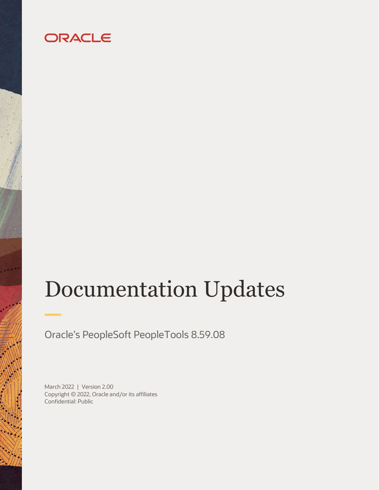# ORACLE

# Documentation Updates

Oracle's PeopleSoft PeopleTools 8.59.08

March 2022 | Version 2.00 Copyright © 2022, Oracle and/or its affiliates Confidential: Public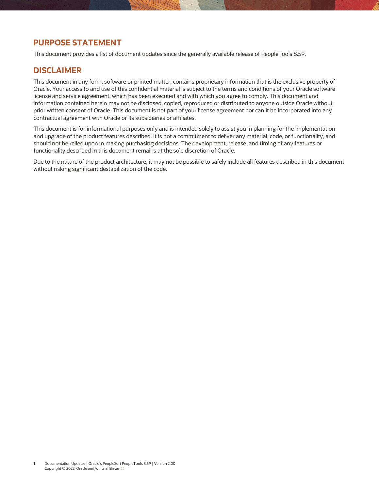# <span id="page-1-0"></span>**PURPOSE STATEMENT**

This document provides a list of document updates since the generally available release of PeopleTools 8.59.

## <span id="page-1-1"></span>**DISCLAIMER**

This document in any form, software or printed matter, contains proprietary information that is the exclusive property of Oracle. Your access to and use of this confidential material is subject to the terms and conditions of your Oracle software license and service agreement, which has been executed and with which you agree to comply. This document and information contained herein may not be disclosed, copied, reproduced or distributed to anyone outside Oracle without prior written consent of Oracle. This document is not part of your license agreement nor can it be incorporated into any contractual agreement with Oracle or its subsidiaries or affiliates.

This document is for informational purposes only and is intended solely to assist you in planning for the implementation and upgrade of the product features described. It is not a commitment to deliver any material, code, or functionality, and should not be relied upon in making purchasing decisions. The development, release, and timing of any features or functionality described in this document remains at the sole discretion of Oracle.

Due to the nature of the product architecture, it may not be possible to safely include all features described in this document without risking significant destabilization of the code.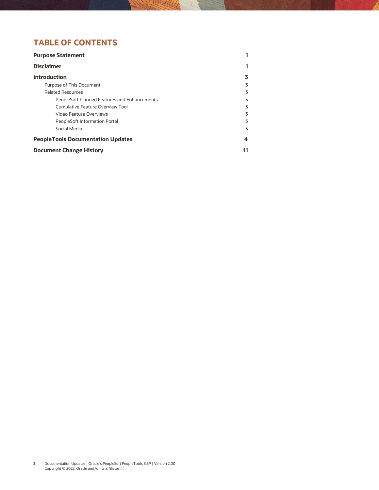# **TABLE OF CONTENTS**

| <b>Purpose Statement</b>                     |                |
|----------------------------------------------|----------------|
| <b>Disclaimer</b>                            |                |
| <b>Introduction</b>                          |                |
| Purpose of This Document                     | 3              |
| <b>Related Resources</b>                     | 3              |
| PeopleSoft Planned Features and Enhancements | 3              |
| Cumulative Feature Overview Tool             | 3              |
| Video Feature Overviews                      | 3              |
| PeopleSoft Information Portal                | 3              |
| Social Media                                 | $\overline{5}$ |
| <b>PeopleTools Documentation Updates</b>     | 4              |
| <b>Document Change History</b>               |                |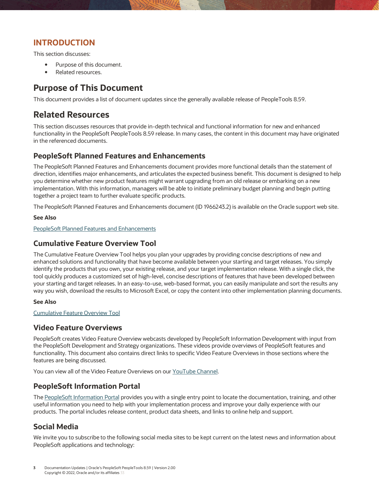## <span id="page-3-0"></span>**INTRODUCTION**

This section discusses:

- Purpose of this document.
- Related resources.

# <span id="page-3-1"></span>**Purpose of This Document**

This document provides a list of document updates since the generally available release of PeopleTools 8.59.

# <span id="page-3-2"></span>**Related Resources**

This section discusses resources that provide in-depth technical and functional information for new and enhanced functionality in the PeopleSoft PeopleTools 8.59 release. In many cases, the content in this document may have originated in the referenced documents.

## <span id="page-3-3"></span>**PeopleSoft Planned Features and Enhancements**

The PeopleSoft Planned Features and Enhancements document provides more functional details than the statement of direction, identifies major enhancements, and articulates the expected business benefit. This document is designed to help you determine whether new product features might warrant upgrading from an old release or embarking on a new implementation. With this information, managers will be able to initiate preliminary budget planning and begin putting together a project team to further evaluate specific products.

The PeopleSoft Planned Features and Enhancements document (ID 1966243.2) is available on the Oracle support web site.

#### **See Also**

[PeopleSoft Planned Features and Enhancements](https://support.oracle.com/epmos/faces/DocumentDisplay?_afrLoop=258575527377484&id=1966243.2)

### <span id="page-3-4"></span>**Cumulative Feature Overview Tool**

The Cumulative Feature Overview Tool helps you plan your upgrades by providing concise descriptions of new and enhanced solutions and functionality that have become available between your starting and target releases. You simply identify the products that you own, your existing release, and your target implementation release. With a single click, the tool quickly produces a customized set of high-level, concise descriptions of features that have been developed between your starting and target releases. In an easy-to-use, web-based format, you can easily manipulate and sort the results any way you wish, download the results to Microsoft Excel, or copy the content into other implementation planning documents.

#### **See Also**

[Cumulative Feature Overview Tool](https://apexapps.oracle.com/pls/apex/f?p=10319:5:0)

## <span id="page-3-5"></span>**Video Feature Overviews**

PeopleSoft creates Video Feature Overview webcasts developed by PeopleSoft Information Development with input from the PeopleSoft Development and Strategy organizations. These videos provide overviews of PeopleSoft features and functionality. This document also contains direct links to specific Video Feature Overviews in those sections where the features are being discussed.

You can view all of the Video Feature Overviews on our [YouTube](http://docs.oracle.com/cd/E47868_01/VFO/home_page.html) Channel.

## <span id="page-3-6"></span>**PeopleSoft Information Portal**

Th[e PeopleSoft Information Portal](http://docs.oracle.com/cd/E52319_01/infoportal/index.html) provides you with a single entry point to locate the documentation, training, and other useful information you need to help with your implementation process and improve your daily experience with our products. The portal includes release content, product data sheets, and links to online help and support.

## <span id="page-3-7"></span>**Social Media**

We invite you to subscribe to the following social media sites to be kept current on the latest news and information about PeopleSoft applications and technology: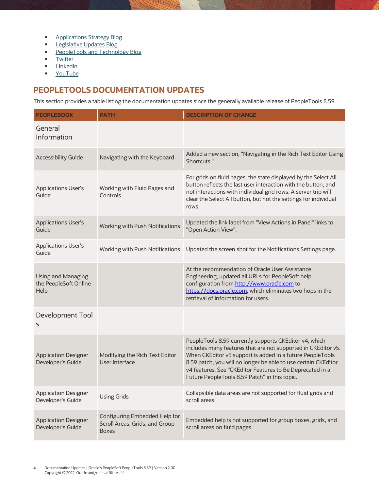- **•** [Applications Strategy Blog](http://blogs.oracle.com/peoplesoft/)
- **•** [Legislative Updates Blog](http://blogs.oracle.com/psftlegupdates/)
- [PeopleTools and Technology Blog](http://blogs.oracle.com/peopletools/)
- [Twitter](http://twitter.com/PeopleSoft_Info)
- [LinkedIn](https://www.linkedin.com/groups/4530781/)
- [YouTube](http://www.youtube.com/user/PSFTOracle)

# <span id="page-4-0"></span>**PEOPLETOOLS DOCUMENTATION UPDATES**

This section provides a table listing the documentation updates since the generally available release of PeopleTools 8.59.

| <b>PEOPLEBOOK</b>                                          | <b>PATH</b>                                                                     | <b>DESCRIPTION OF CHANGE</b>                                                                                                                                                                                                                                                                                                                                         |
|------------------------------------------------------------|---------------------------------------------------------------------------------|----------------------------------------------------------------------------------------------------------------------------------------------------------------------------------------------------------------------------------------------------------------------------------------------------------------------------------------------------------------------|
| General<br>Information                                     |                                                                                 |                                                                                                                                                                                                                                                                                                                                                                      |
| <b>Accessibility Guide</b>                                 | Navigating with the Keyboard                                                    | Added a new section, "Navigating in the Rich Text Editor Using<br>Shortcuts."                                                                                                                                                                                                                                                                                        |
| <b>Applications User's</b><br>Guide                        | Working with Fluid Pages and<br>Controls                                        | For grids on fluid pages, the state displayed by the Select All<br>button reflects the last user interaction with the button, and<br>not interactions with individual grid rows. A server trip will<br>clear the Select All button, but not the settings for individual<br>rows.                                                                                     |
| <b>Applications User's</b><br>Guide                        | Working with Push Notifications                                                 | Updated the link label from "View Actions in Panel" links to<br>"Open Action View".                                                                                                                                                                                                                                                                                  |
| <b>Applications User's</b><br>Guide                        | Working with Push Notifications                                                 | Updated the screen shot for the Notifications Settings page.                                                                                                                                                                                                                                                                                                         |
| <b>Using and Managing</b><br>the PeopleSoft Online<br>Help |                                                                                 | At the recommendation of Oracle User Assistance<br>Engineering, updated all URLs for PeopleSoft help<br>configuration from http://www.oracle.com to<br>https://docs.oracle.com, which eliminates two hops in the<br>retrieval of information for users.                                                                                                              |
| Development Tool<br>S                                      |                                                                                 |                                                                                                                                                                                                                                                                                                                                                                      |
| <b>Application Designer</b><br>Developer's Guide           | Modifying the Rich Text Editor<br>User Interface                                | PeopleTools 8.59 currently supports CKEditor v4, which<br>includes many features that are not supported in CKEditor v5.<br>When CKEditor v5 support is added in a future PeopleTools<br>8.59 patch, you will no longer be able to use certain CKEditor<br>v4 features. See "CKEditor Features to Be Deprecated in a<br>Future PeopleTools 8.59 Patch" in this topic. |
| <b>Application Designer</b><br>Developer's Guide           | <b>Using Grids</b>                                                              | Collapsible data areas are not supported for fluid grids and<br>scroll areas.                                                                                                                                                                                                                                                                                        |
| <b>Application Designer</b><br>Developer's Guide           | Configuring Embedded Help for<br>Scroll Areas, Grids, and Group<br><b>Boxes</b> | Embedded help is not supported for group boxes, grids, and<br>scroll areas on fluid pages.                                                                                                                                                                                                                                                                           |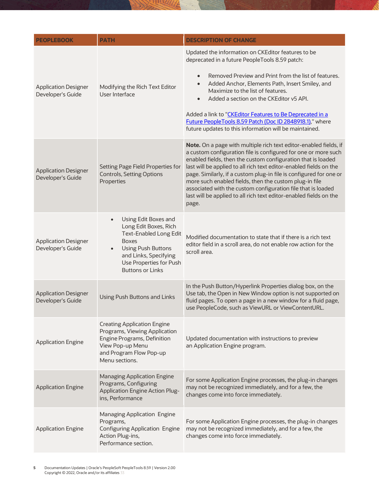| <b>PEOPLEBOOK</b>                                | <b>PATH</b>                                                                                                                                                                                                                          | <b>DESCRIPTION OF CHANGE</b>                                                                                                                                                                                                                                                                                                                                                                                                                                                                                                                             |
|--------------------------------------------------|--------------------------------------------------------------------------------------------------------------------------------------------------------------------------------------------------------------------------------------|----------------------------------------------------------------------------------------------------------------------------------------------------------------------------------------------------------------------------------------------------------------------------------------------------------------------------------------------------------------------------------------------------------------------------------------------------------------------------------------------------------------------------------------------------------|
| <b>Application Designer</b><br>Developer's Guide | Modifying the Rich Text Editor<br>User Interface                                                                                                                                                                                     | Updated the information on CKEditor features to be<br>deprecated in a future PeopleTools 8.59 patch:<br>Removed Preview and Print from the list of features.<br>$\bullet$<br>Added Anchor, Elements Path, Insert Smiley, and<br>$\bullet$<br>Maximize to the list of features.<br>Added a section on the CKEditor v5 API.<br>$\bullet$<br>Added a link to "CKEditor Features to Be Deprecated in a<br>Future PeopleTools 8.59 Patch (Doc ID 2848918.1)," where                                                                                           |
|                                                  |                                                                                                                                                                                                                                      | future updates to this information will be maintained.                                                                                                                                                                                                                                                                                                                                                                                                                                                                                                   |
| <b>Application Designer</b><br>Developer's Guide | Setting Page Field Properties for<br><b>Controls, Setting Options</b><br>Properties                                                                                                                                                  | Note. On a page with multiple rich text editor-enabled fields, if<br>a custom configuration file is configured for one or more such<br>enabled fields, then the custom configuration that is loaded<br>last will be applied to all rich text editor-enabled fields on the<br>page. Similarly, if a custom plug-in file is configured for one or<br>more such enabled fields, then the custom plug-in file<br>associated with the custom configuration file that is loaded<br>last will be applied to all rich text editor-enabled fields on the<br>page. |
| <b>Application Designer</b><br>Developer's Guide | Using Edit Boxes and<br>$\bullet$<br>Long Edit Boxes, Rich<br><b>Text-Enabled Long Edit</b><br><b>Boxes</b><br><b>Using Push Buttons</b><br>$\bullet$<br>and Links, Specifying<br>Use Properties for Push<br><b>Buttons or Links</b> | Modified documentation to state that if there is a rich text<br>editor field in a scroll area, do not enable row action for the<br>scroll area.                                                                                                                                                                                                                                                                                                                                                                                                          |
| <b>Application Designer</b><br>Developer's Guide | Using Push Buttons and Links                                                                                                                                                                                                         | In the Push Button/Hyperlink Properties dialog box, on the<br>Use tab, the Open in New Window option is not supported on<br>fluid pages. To open a page in a new window for a fluid page,<br>use PeopleCode, such as ViewURL or ViewContentURL.                                                                                                                                                                                                                                                                                                          |
| <b>Application Engine</b>                        | <b>Creating Application Engine</b><br>Programs, Viewing Application<br>Engine Programs, Definition<br>View Pop-up Menu<br>and Program Flow Pop-up<br>Menu sections.                                                                  | Updated documentation with instructions to preview<br>an Application Engine program.                                                                                                                                                                                                                                                                                                                                                                                                                                                                     |
| <b>Application Engine</b>                        | <b>Managing Application Engine</b><br>Programs, Configuring<br><b>Application Engine Action Plug-</b><br>ins, Performance                                                                                                            | For some Application Engine processes, the plug-in changes<br>may not be recognized immediately, and for a few, the<br>changes come into force immediately.                                                                                                                                                                                                                                                                                                                                                                                              |
| <b>Application Engine</b>                        | Managing Application Engine<br>Programs,<br><b>Configuring Application Engine</b><br>Action Plug-ins,<br>Performance section.                                                                                                        | For some Application Engine processes, the plug-in changes<br>may not be recognized immediately, and for a few, the<br>changes come into force immediately.                                                                                                                                                                                                                                                                                                                                                                                              |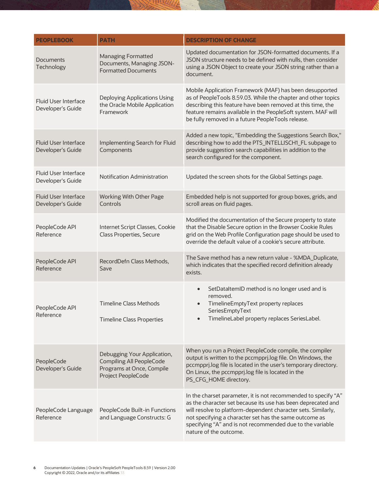| <b>PEOPLEBOOK</b>                                | <b>PATH</b>                                                                                                       | <b>DESCRIPTION OF CHANGE</b>                                                                                                                                                                                                                                                                                                                     |
|--------------------------------------------------|-------------------------------------------------------------------------------------------------------------------|--------------------------------------------------------------------------------------------------------------------------------------------------------------------------------------------------------------------------------------------------------------------------------------------------------------------------------------------------|
| <b>Documents</b><br>Technology                   | <b>Managing Formatted</b><br>Documents, Managing JSON-<br><b>Formatted Documents</b>                              | Updated documentation for JSON-formatted documents. If a<br>JSON structure needs to be defined with nulls, then consider<br>using a JSON Object to create your JSON string rather than a<br>document.                                                                                                                                            |
| <b>Fluid User Interface</b><br>Developer's Guide | Deploying Applications Using<br>the Oracle Mobile Application<br>Framework                                        | Mobile Application Framework (MAF) has been desupported<br>as of PeopleTools 8.59.03. While the chapter and other topics<br>describing this feature have been removed at this time, the<br>feature remains available in the PeopleSoft system. MAF will<br>be fully removed in a future PeopleTools release.                                     |
| <b>Fluid User Interface</b><br>Developer's Guide | Implementing Search for Fluid<br>Components                                                                       | Added a new topic, "Embedding the Suggestions Search Box,"<br>describing how to add the PTS_INTELLISCH1_FL subpage to<br>provide suggestion search capabilities in addition to the<br>search configured for the component.                                                                                                                       |
| <b>Fluid User Interface</b><br>Developer's Guide | Notification Administration                                                                                       | Updated the screen shots for the Global Settings page.                                                                                                                                                                                                                                                                                           |
| <b>Fluid User Interface</b><br>Developer's Guide | Working With Other Page<br>Controls                                                                               | Embedded help is not supported for group boxes, grids, and<br>scroll areas on fluid pages.                                                                                                                                                                                                                                                       |
| PeopleCode API<br>Reference                      | Internet Script Classes, Cookie<br><b>Class Properties, Secure</b>                                                | Modified the documentation of the Secure property to state<br>that the Disable Secure option in the Browser Cookie Rules<br>grid on the Web Profile Configuration page should be used to<br>override the default value of a cookie's secure attribute.                                                                                           |
| PeopleCode API<br>Reference                      | RecordDefn Class Methods,<br>Save                                                                                 | The Save method has a new return value - %MDA_Duplicate,<br>which indicates that the specified record definition already<br>exists.                                                                                                                                                                                                              |
| PeopleCode API<br>Reference                      | <b>Timeline Class Methods</b><br><b>Timeline Class Properties</b>                                                 | SetDataItemID method is no longer used and is<br>$\bullet$<br>removed.<br>TimelineEmptyText property replaces<br>$\bullet$<br>SeriesEmptyText<br>TimelineLabel property replaces SeriesLabel.                                                                                                                                                    |
| PeopleCode<br>Developer's Guide                  | Debugging Your Application,<br><b>Compiling All PeopleCode</b><br>Programs at Once, Compile<br>Project PeopleCode | When you run a Project PeopleCode compile, the compiler<br>output is written to the pccmpprj.log file. On Windows, the<br>pccmpprj.log file is located in the user's temporary directory.<br>On Linux, the pccmpprj.log file is located in the<br>PS_CFG_HOME directory.                                                                         |
| PeopleCode Language<br>Reference                 | PeopleCode Built-in Functions<br>and Language Constructs: G                                                       | In the charset parameter, it is not recommended to specify "A"<br>as the character set because its use has been deprecated and<br>will resolve to platform-dependent character sets. Similarly,<br>not specifying a character set has the same outcome as<br>specifying "A" and is not recommended due to the variable<br>nature of the outcome. |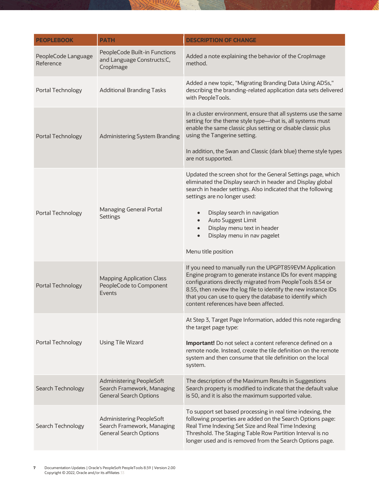| <b>PEOPLEBOOK</b>                | <b>PATH</b>                                                                             | <b>DESCRIPTION OF CHANGE</b>                                                                                                                                                                                                                                                                                                                                                                                 |
|----------------------------------|-----------------------------------------------------------------------------------------|--------------------------------------------------------------------------------------------------------------------------------------------------------------------------------------------------------------------------------------------------------------------------------------------------------------------------------------------------------------------------------------------------------------|
| PeopleCode Language<br>Reference | PeopleCode Built-in Functions<br>and Language Constructs:C,<br>CropImage                | Added a note explaining the behavior of the CropImage<br>method.                                                                                                                                                                                                                                                                                                                                             |
| Portal Technology                | <b>Additional Branding Tasks</b>                                                        | Added a new topic, "Migrating Branding Data Using ADSs,"<br>describing the branding-related application data sets delivered<br>with PeopleTools.                                                                                                                                                                                                                                                             |
| Portal Technology                | Administering System Branding                                                           | In a cluster environment, ensure that all systems use the same<br>setting for the theme style type-that is, all systems must<br>enable the same classic plus setting or disable classic plus<br>using the Tangerine setting.<br>In addition, the Swan and Classic (dark blue) theme style types<br>are not supported.                                                                                        |
| Portal Technology                | Managing General Portal<br><b>Settings</b>                                              | Updated the screen shot for the General Settings page, which<br>eliminated the Display search in header and Display global<br>search in header settings. Also indicated that the following<br>settings are no longer used:<br>Display search in navigation<br>$\bullet$<br>Auto Suggest Limit<br>$\bullet$<br>Display menu text in header<br>$\bullet$<br>Display menu in nav pagelet<br>Menu title position |
| Portal Technology                | <b>Mapping Application Class</b><br>PeopleCode to Component<br>Events                   | If you need to manually run the UPGPT859EVM Application<br>Engine program to generate instance IDs for event mapping<br>configurations directly migrated from PeopleTools 8.54 or<br>8.55, then review the log file to identify the new instance IDs<br>that you can use to query the database to identify which<br>content references have been affected.                                                   |
| Portal Technology                | <b>Using Tile Wizard</b>                                                                | At Step 3, Target Page Information, added this note regarding<br>the target page type:<br><b>Important!</b> Do not select a content reference defined on a<br>remote node. Instead, create the tile definition on the remote<br>system and then consume that tile definition on the local<br>system.                                                                                                         |
| Search Technology                | Administering PeopleSoft<br>Search Framework, Managing<br><b>General Search Options</b> | The description of the Maximum Results in Suggestions<br>Search property is modified to indicate that the default value<br>is 50, and it is also the maximum supported value.                                                                                                                                                                                                                                |
| Search Technology                | Administering PeopleSoft<br>Search Framework, Managing<br><b>General Search Options</b> | To support set based processing in real time indexing, the<br>following properties are added on the Search Options page:<br>Real Time Indexing Set Size and Real Time Indexing<br>Threshold. The Staging Table Row Partition Interval is no<br>longer used and is removed from the Search Options page.                                                                                                      |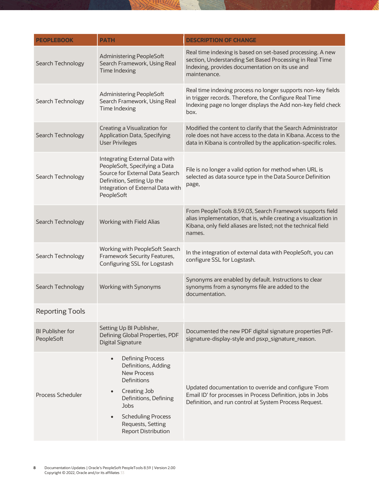| <b>PEOPLEBOOK</b>              | <b>PATH</b>                                                                                                                                                                                                                              | <b>DESCRIPTION OF CHANGE</b>                                                                                                                                                                              |
|--------------------------------|------------------------------------------------------------------------------------------------------------------------------------------------------------------------------------------------------------------------------------------|-----------------------------------------------------------------------------------------------------------------------------------------------------------------------------------------------------------|
| Search Technology              | <b>Administering PeopleSoft</b><br>Search Framework, Using Real<br>Time Indexing                                                                                                                                                         | Real time indexing is based on set-based processing. A new<br>section, Understanding Set Based Processing in Real Time<br>Indexing, provides documentation on its use and<br>maintenance.                 |
| Search Technology              | <b>Administering PeopleSoft</b><br>Search Framework, Using Real<br>Time Indexing                                                                                                                                                         | Real time indexing process no longer supports non-key fields<br>in trigger records. Therefore, the Configure Real Time<br>Indexing page no longer displays the Add non-key field check<br>box.            |
| Search Technology              | Creating a Visualization for<br><b>Application Data, Specifying</b><br><b>User Privileges</b>                                                                                                                                            | Modified the content to clarify that the Search Administrator<br>role does not have access to the data in Kibana. Access to the<br>data in Kibana is controlled by the application-specific roles.        |
| Search Technology              | Integrating External Data with<br>PeopleSoft, Specifying a Data<br>Source for External Data Search<br>Definition, Setting Up the<br>Integration of External Data with<br>PeopleSoft                                                      | File is no longer a valid option for method when URL is<br>selected as data source type in the Data Source Definition<br>page,                                                                            |
| Search Technology              | Working with Field Alias                                                                                                                                                                                                                 | From PeopleTools 8.59.03, Search Framework supports field<br>alias implementation, that is, while creating a visualization in<br>Kibana, only field aliases are listed; not the technical field<br>names. |
| Search Technology              | Working with PeopleSoft Search<br>Framework Security Features,<br>Configuring SSL for Logstash                                                                                                                                           | In the integration of external data with PeopleSoft, you can<br>configure SSL for Logstash.                                                                                                               |
| Search Technology              | Working with Synonyms                                                                                                                                                                                                                    | Synonyms are enabled by default. Instructions to clear<br>synonyms from a synonyms file are added to the<br>documentation.                                                                                |
| <b>Reporting Tools</b>         |                                                                                                                                                                                                                                          |                                                                                                                                                                                                           |
| BI Publisher for<br>PeopleSoft | Setting Up BI Publisher,<br>Defining Global Properties, PDF<br><b>Digital Signature</b>                                                                                                                                                  | Documented the new PDF digital signature properties Pdf-<br>signature-display-style and psxp_signature_reason.                                                                                            |
| <b>Process Scheduler</b>       | <b>Defining Process</b><br>$\bullet$<br>Definitions, Adding<br><b>New Process</b><br><b>Definitions</b><br>Creating Job<br>Definitions, Defining<br>Jobs<br><b>Scheduling Process</b><br>Requests, Setting<br><b>Report Distribution</b> | Updated documentation to override and configure 'From<br>Email ID' for processes in Process Definition, jobs in Jobs<br>Definition, and run control at System Process Request.                            |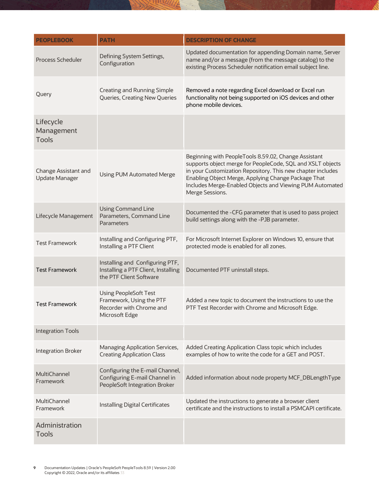| <b>PEOPLEBOOK</b>                             | <b>PATH</b>                                                                                            | <b>DESCRIPTION OF CHANGE</b>                                                                                                                                                                                                                                                                                            |
|-----------------------------------------------|--------------------------------------------------------------------------------------------------------|-------------------------------------------------------------------------------------------------------------------------------------------------------------------------------------------------------------------------------------------------------------------------------------------------------------------------|
| <b>Process Scheduler</b>                      | Defining System Settings,<br>Configuration                                                             | Updated documentation for appending Domain name, Server<br>name and/or a message (from the message catalog) to the<br>existing Process Scheduler notification email subject line.                                                                                                                                       |
| Query                                         | <b>Creating and Running Simple</b><br>Queries, Creating New Queries                                    | Removed a note regarding Excel download or Excel run<br>functionality not being supported on iOS devices and other<br>phone mobile devices.                                                                                                                                                                             |
| Lifecycle<br>Management<br><b>Tools</b>       |                                                                                                        |                                                                                                                                                                                                                                                                                                                         |
| Change Assistant and<br><b>Update Manager</b> | <b>Using PUM Automated Merge</b>                                                                       | Beginning with PeopleTools 8.59.02, Change Assistant<br>supports object merge for PeopleCode, SQL and XSLT objects<br>in your Customization Repository. This new chapter includes<br>Enabling Object Merge, Applying Change Package That<br>Includes Merge-Enabled Objects and Viewing PUM Automated<br>Merge Sessions. |
| Lifecycle Management                          | <b>Using Command Line</b><br>Parameters, Command Line<br>Parameters                                    | Documented the -CFG parameter that is used to pass project<br>build settings along with the -PJB parameter.                                                                                                                                                                                                             |
| <b>Test Framework</b>                         | Installing and Configuring PTF,<br>Installing a PTF Client                                             | For Microsoft Internet Explorer on Windows 10, ensure that<br>protected mode is enabled for all zones.                                                                                                                                                                                                                  |
| <b>Test Framework</b>                         | Installing and Configuring PTF,<br>Installing a PTF Client, Installing<br>the PTF Client Software      | Documented PTF uninstall steps.                                                                                                                                                                                                                                                                                         |
| <b>Test Framework</b>                         | <b>Using PeopleSoft Test</b><br>Framework, Using the PTF<br>Recorder with Chrome and<br>Microsoft Edge | Added a new topic to document the instructions to use the<br>PTF Test Recorder with Chrome and Microsoft Edge.                                                                                                                                                                                                          |
| <b>Integration Tools</b>                      |                                                                                                        |                                                                                                                                                                                                                                                                                                                         |
| <b>Integration Broker</b>                     | Managing Application Services,<br><b>Creating Application Class</b>                                    | Added Creating Application Class topic which includes<br>examples of how to write the code for a GET and POST.                                                                                                                                                                                                          |
| <b>MultiChannel</b><br>Framework              | Configuring the E-mail Channel,<br>Configuring E-mail Channel in<br>PeopleSoft Integration Broker      | Added information about node property MCF_DBLengthType                                                                                                                                                                                                                                                                  |
| MultiChannel<br>Framework                     | <b>Installing Digital Certificates</b>                                                                 | Updated the instructions to generate a browser client<br>certificate and the instructions to install a PSMCAPI certificate.                                                                                                                                                                                             |
| Administration<br><b>Tools</b>                |                                                                                                        |                                                                                                                                                                                                                                                                                                                         |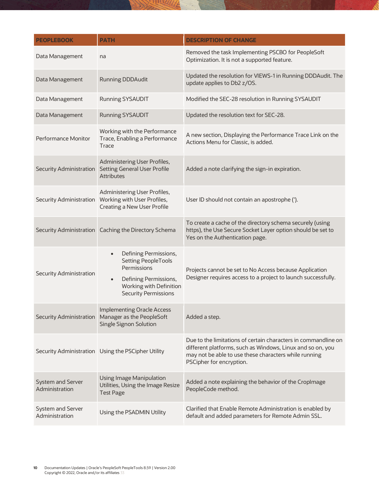| <b>PEOPLEBOOK</b>                   | <b>PATH</b>                                                                                                                                                                     | <b>DESCRIPTION OF CHANGE</b>                                                                                                                                                                                      |
|-------------------------------------|---------------------------------------------------------------------------------------------------------------------------------------------------------------------------------|-------------------------------------------------------------------------------------------------------------------------------------------------------------------------------------------------------------------|
| Data Management                     | na                                                                                                                                                                              | Removed the task Implementing PSCBO for PeopleSoft<br>Optimization. It is not a supported feature.                                                                                                                |
| Data Management                     | <b>Running DDDAudit</b>                                                                                                                                                         | Updated the resolution for VIEWS-1 in Running DDDAudit. The<br>update applies to Db2 z/OS.                                                                                                                        |
| Data Management                     | <b>Running SYSAUDIT</b>                                                                                                                                                         | Modified the SEC-28 resolution in Running SYSAUDIT                                                                                                                                                                |
| Data Management                     | <b>Running SYSAUDIT</b>                                                                                                                                                         | Updated the resolution text for SEC-28.                                                                                                                                                                           |
| Performance Monitor                 | Working with the Performance<br>Trace, Enabling a Performance<br>Trace                                                                                                          | A new section, Displaying the Performance Trace Link on the<br>Actions Menu for Classic, is added.                                                                                                                |
| <b>Security Administration</b>      | Administering User Profiles,<br><b>Setting General User Profile</b><br><b>Attributes</b>                                                                                        | Added a note clarifying the sign-in expiration.                                                                                                                                                                   |
| Security Administration             | Administering User Profiles,<br>Working with User Profiles,<br>Creating a New User Profile                                                                                      | User ID should not contain an apostrophe (').                                                                                                                                                                     |
|                                     | Security Administration   Caching the Directory Schema                                                                                                                          | To create a cache of the directory schema securely (using<br>https), the Use Secure Socket Layer option should be set to<br>Yes on the Authentication page.                                                       |
| <b>Security Administration</b>      | Defining Permissions,<br>$\bullet$<br><b>Setting PeopleTools</b><br>Permissions<br>Defining Permissions,<br>$\bullet$<br>Working with Definition<br><b>Security Permissions</b> | Projects cannot be set to No Access because Application<br>Designer requires access to a project to launch successfully.                                                                                          |
| Security Administration             | <b>Implementing Oracle Access</b><br>Manager as the PeopleSoft<br><b>Single Signon Solution</b>                                                                                 | Added a step.                                                                                                                                                                                                     |
|                                     | Security Administration Using the PSCipher Utility                                                                                                                              | Due to the limitations of certain characters in commandline on<br>different platforms, such as Windows, Linux and so on, you<br>may not be able to use these characters while running<br>PSCipher for encryption. |
| System and Server<br>Administration | <b>Using Image Manipulation</b><br>Utilities, Using the Image Resize<br><b>Test Page</b>                                                                                        | Added a note explaining the behavior of the CropImage<br>PeopleCode method.                                                                                                                                       |
| System and Server<br>Administration | Using the PSADMIN Utility                                                                                                                                                       | Clarified that Enable Remote Administration is enabled by<br>default and added parameters for Remote Admin SSL.                                                                                                   |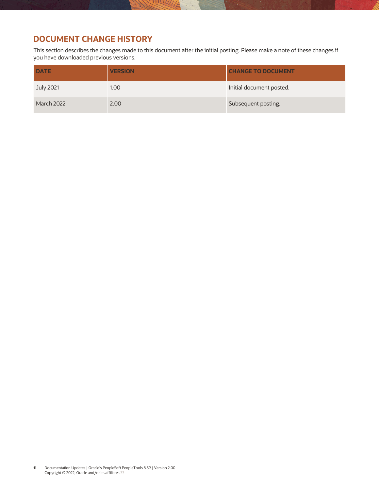# <span id="page-11-0"></span>**DOCUMENT CHANGE HISTORY**

This section describes the changes made to this document after the initial posting. Please make a note of these changes if you have downloaded previous versions.

| <b>DATE</b>       | <b>VERSION</b> | <b>CHANGE TO DOCUMENT</b> |
|-------------------|----------------|---------------------------|
| July 2021         | 1.00           | Initial document posted.  |
| <b>March 2022</b> | 2.00           | Subsequent posting.       |